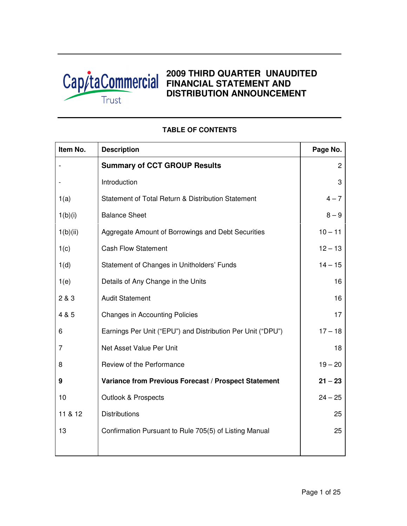

# **2009 THIRD QUARTER UNAUDITED FINANCIAL STATEMENT AND DISTRIBUTION ANNOUNCEMENT**

| Item No. | <b>Description</b>                                          | Page No.     |
|----------|-------------------------------------------------------------|--------------|
|          | <b>Summary of CCT GROUP Results</b>                         | $\mathbf{2}$ |
|          | Introduction                                                | 3            |
| 1(a)     | Statement of Total Return & Distribution Statement          | $4 - 7$      |
| 1(b)(i)  | <b>Balance Sheet</b>                                        | $8 - 9$      |
| 1(b)(ii) | Aggregate Amount of Borrowings and Debt Securities          | $10 - 11$    |
| 1(c)     | <b>Cash Flow Statement</b>                                  | $12 - 13$    |
| 1(d)     | Statement of Changes in Unitholders' Funds                  | $14 - 15$    |
| 1(e)     | Details of Any Change in the Units                          | 16           |
| 2 & 3    | <b>Audit Statement</b>                                      | 16           |
| 4 & 5    | <b>Changes in Accounting Policies</b>                       | 17           |
| 6        | Earnings Per Unit ("EPU") and Distribution Per Unit ("DPU") | $17 - 18$    |
| 7        | Net Asset Value Per Unit                                    | 18           |
| 8        | Review of the Performance                                   | $19 - 20$    |
| 9        | Variance from Previous Forecast / Prospect Statement        | $21 - 23$    |
| 10       | <b>Outlook &amp; Prospects</b>                              | $24 - 25$    |
| 11 & 12  | <b>Distributions</b>                                        | 25           |
| 13       | Confirmation Pursuant to Rule 705(5) of Listing Manual      | 25           |
|          |                                                             |              |

## **TABLE OF CONTENTS**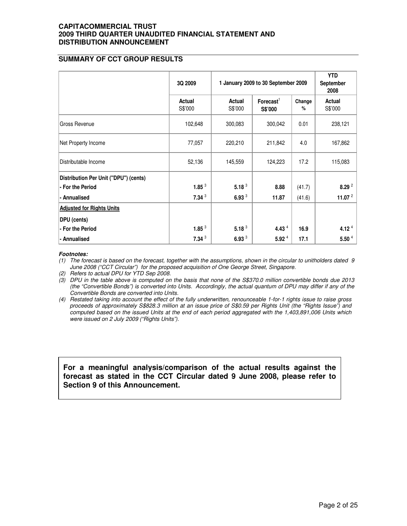## **SUMMARY OF CCT GROUP RESULTS**

|                                       | 3Q 2009           | 1 January 2009 to 30 September 2009 |                                  | <b>YTD</b><br>September<br>2008 |                   |
|---------------------------------------|-------------------|-------------------------------------|----------------------------------|---------------------------------|-------------------|
|                                       | Actual<br>S\$'000 | Actual<br>S\$'000                   | Forecast <sup>1</sup><br>S\$'000 | Change<br>%                     | Actual<br>S\$'000 |
| Gross Revenue                         | 102,648           | 300,083                             | 300,042                          | 0.01                            | 238,121           |
| Net Property Income                   | 77,057            | 220,210                             | 211,842                          | 4.0                             | 167,862           |
| Distributable Income                  | 52,136            | 145,559                             | 124,223                          | 17.2                            | 115,083           |
| Distribution Per Unit ("DPU") (cents) |                   |                                     |                                  |                                 |                   |
| - For the Period                      | 1.85 $3$          | 5.18 <sup>3</sup>                   | 8.88                             | (41.7)                          | 8.29 <sup>2</sup> |
| - Annualised                          | 7.34 <sup>3</sup> | 6.93 $3$                            | 11.87                            | (41.6)                          | 11.07 $^2$        |
| <b>Adjusted for Rights Units</b>      |                   |                                     |                                  |                                 |                   |
| DPU (cents)                           |                   |                                     |                                  |                                 |                   |
| - For the Period                      | 1.85 $3$          | 5.18 $3$                            | 4.43 $4$                         | 16.9                            | 4.12 $4$          |
| - Annualised                          | 7.34 <sup>3</sup> | 6.93 $3$                            | 5.92 <sup>4</sup>                | 17.1                            | 5.50 <sup>4</sup> |

#### **Footnotes:**

(1) The forecast is based on the forecast, together with the assumptions, shown in the circular to unitholders dated 9 June 2008 ("CCT Circular") for the proposed acquisition of One George Street, Singapore.

(2) Refers to actual DPU for YTD Sep 2008.

(3) DPU in the table above is computed on the basis that none of the S\$370.0 million convertible bonds due 2013 (the "Convertible Bonds") is converted into Units. Accordingly, the actual quantum of DPU may differ if any of the Convertible Bonds are converted into Units.

(4) Restated taking into account the effect of the fully underwritten, renounceable 1-for-1 rights issue to raise gross proceeds of approximately S\$828.3 million at an issue price of S\$0.59 per Rights Unit (the "Rights Issue") and computed based on the issued Units at the end of each period aggregated with the 1,403,891,006 Units which were issued on 2 July 2009 ("Rights Units").

**For a meaningful analysis/comparison of the actual results against the forecast as stated in the CCT Circular dated 9 June 2008, please refer to Section 9 of this Announcement.**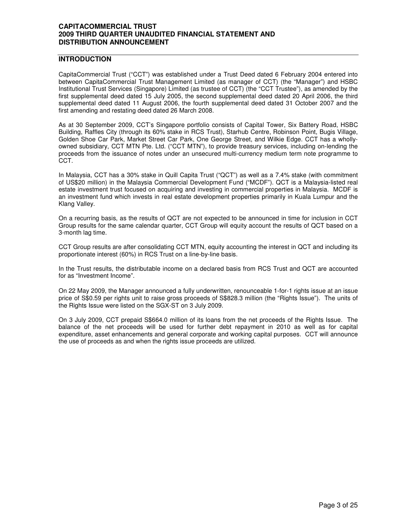## **INTRODUCTION**

CapitaCommercial Trust ("CCT") was established under a Trust Deed dated 6 February 2004 entered into between CapitaCommercial Trust Management Limited (as manager of CCT) (the "Manager") and HSBC Institutional Trust Services (Singapore) Limited (as trustee of CCT) (the "CCT Trustee"), as amended by the first supplemental deed dated 15 July 2005, the second supplemental deed dated 20 April 2006, the third supplemental deed dated 11 August 2006, the fourth supplemental deed dated 31 October 2007 and the first amending and restating deed dated 26 March 2008.

As at 30 September 2009, CCT's Singapore portfolio consists of Capital Tower, Six Battery Road, HSBC Building, Raffles City (through its 60% stake in RCS Trust), Starhub Centre, Robinson Point, Bugis Village, Golden Shoe Car Park, Market Street Car Park, One George Street, and Wilkie Edge. CCT has a whollyowned subsidiary, CCT MTN Pte. Ltd. ("CCT MTN"), to provide treasury services, including on-lending the proceeds from the issuance of notes under an unsecured multi-currency medium term note programme to CCT.

In Malaysia, CCT has a 30% stake in Quill Capita Trust ("QCT") as well as a 7.4% stake (with commitment of US\$20 million) in the Malaysia Commercial Development Fund ("MCDF"). QCT is a Malaysia-listed real estate investment trust focused on acquiring and investing in commercial properties in Malaysia. MCDF is an investment fund which invests in real estate development properties primarily in Kuala Lumpur and the Klang Valley.

On a recurring basis, as the results of QCT are not expected to be announced in time for inclusion in CCT Group results for the same calendar quarter, CCT Group will equity account the results of QCT based on a 3-month lag time.

CCT Group results are after consolidating CCT MTN, equity accounting the interest in QCT and including its proportionate interest (60%) in RCS Trust on a line-by-line basis.

In the Trust results, the distributable income on a declared basis from RCS Trust and QCT are accounted for as "Investment Income".

On 22 May 2009, the Manager announced a fully underwritten, renounceable 1-for-1 rights issue at an issue price of S\$0.59 per rights unit to raise gross proceeds of S\$828.3 million (the "Rights Issue"). The units of the Rights Issue were listed on the SGX-ST on 3 July 2009.

On 3 July 2009, CCT prepaid S\$664.0 million of its loans from the net proceeds of the Rights Issue. The balance of the net proceeds will be used for further debt repayment in 2010 as well as for capital expenditure, asset enhancements and general corporate and working capital purposes. CCT will announce the use of proceeds as and when the rights issue proceeds are utilized.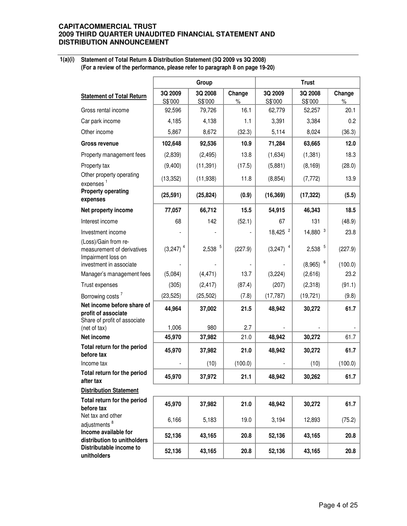**1(a)(i) Statement of Total Return & Distribution Statement (3Q 2009 vs 3Q 2008) (For a review of the performance, please refer to paragraph 8 on page 19-20)**

|                                                                                   |                        | Group              |                |                        | <b>Trust</b>       |                |
|-----------------------------------------------------------------------------------|------------------------|--------------------|----------------|------------------------|--------------------|----------------|
| <b>Statement of Total Return</b>                                                  | 3Q 2009<br>S\$'000     | 3Q 2008<br>S\$'000 | Change<br>$\%$ | 3Q 2009<br>S\$'000     | 3Q 2008<br>S\$'000 | Change<br>$\%$ |
| Gross rental income                                                               | 92,596                 | 79,726             | 16.1           | 62,779                 | 52,257             | 20.1           |
| Car park income                                                                   | 4,185                  | 4,138              | 1.1            | 3,391                  | 3,384              | 0.2            |
| Other income                                                                      | 5,867                  | 8,672              | (32.3)         | 5,114                  | 8,024              | (36.3)         |
| <b>Gross revenue</b>                                                              | 102,648                | 92,536             | 10.9           | 71,284                 | 63,665             | 12.0           |
| Property management fees                                                          | (2,839)                | (2, 495)           | 13.8           | (1,634)                | (1, 381)           | 18.3           |
| Property tax                                                                      | (9,400)                | (11, 391)          | (17.5)         | (5,881)                | (8, 169)           | (28.0)         |
| Other property operating<br>expenses <sup>1</sup>                                 | (13, 352)              | (11,938)           | 11.8           | (8, 854)               | (7, 772)           | 13.9           |
| <b>Property operating</b><br>expenses                                             | (25, 591)              | (25, 824)          | (0.9)          | (16, 369)              | (17, 322)          | (5.5)          |
| Net property income                                                               | 77,057                 | 66,712             | 15.5           | 54,915                 | 46,343             | 18.5           |
| Interest income                                                                   | 68                     | 142                | (52.1)         | 67                     | 131                | (48.9)         |
| Investment income                                                                 |                        |                    |                | $18,425$ <sup>2</sup>  | 3<br>14,880        | 23.8           |
| (Loss)/Gain from re-<br>measurement of derivatives<br>Impairment loss on          | $(3,247)$ <sup>4</sup> | 5<br>2,538         | (227.9)        | $(3,247)$ <sup>4</sup> | 5<br>2,538         | (227.9)        |
| investment in associate                                                           |                        |                    |                |                        | 6<br>(8,965)       | (100.0)        |
| Manager's management fees                                                         | (5,084)                | (4, 471)           | 13.7           | (3,224)                | (2,616)            | 23.2           |
| Trust expenses                                                                    | (305)                  | (2, 417)           | (87.4)         | (207)                  | (2,318)            | (91.1)         |
| Borrowing costs <sup>7</sup>                                                      | (23, 525)              | (25, 502)          | (7.8)          | (17, 787)              | (19, 721)          | (9.8)          |
| Net income before share of<br>profit of associate<br>Share of profit of associate | 44,964                 | 37,002             | 21.5           | 48,942                 | 30,272             | 61.7           |
| (net of tax)                                                                      | 1,006                  | 980                | 2.7            |                        |                    |                |
| Net income                                                                        | 45,970                 | 37,982             | 21.0           | 48,942                 | 30,272             | 61.7           |
| Total return for the period<br>before tax                                         | 45,970                 | 37,982             | 21.0           | 48,942                 | 30,272             | 61.7           |
| Income tax                                                                        |                        | (10)               | (100.0)        |                        | (10)               | (100.0)        |
| Total return for the period<br>after tax                                          | 45,970                 | 37,972             | 21.1           | 48,942                 | 30,262             | 61.7           |
| <b>Distribution Statement</b>                                                     |                        |                    |                |                        |                    |                |
| Total return for the period<br>before tax                                         | 45,970                 | 37,982             | 21.0           | 48,942                 | 30,272             | 61.7           |
| Net tax and other<br>adjustments <sup>8</sup>                                     | 6,166                  | 5,183              | 19.0           | 3,194                  | 12,893             | (75.2)         |
| Income available for<br>distribution to unitholders                               | 52,136                 | 43,165             | 20.8           | 52,136                 | 43,165             | 20.8           |
| Distributable income to<br>unitholders                                            | 52,136                 | 43,165             | 20.8           | 52,136                 | 43,165             | 20.8           |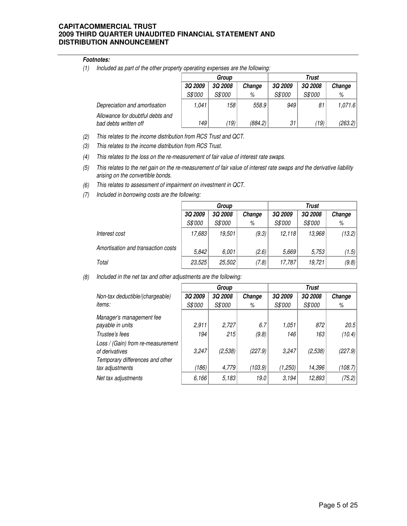#### **Footnotes:**

(1) Included as part of the other property operating expenses are the following:

|                                                           |                | Group          |         | Trust          |                |         |  |
|-----------------------------------------------------------|----------------|----------------|---------|----------------|----------------|---------|--|
|                                                           | <b>3Q 2009</b> | <b>3Q 2008</b> | Change  | <b>3Q 2009</b> | <b>3Q 2008</b> | Change  |  |
|                                                           | S\$'000        | <i>S\$'000</i> | %       | S\$'000        | S\$'000        | %       |  |
| Depreciation and amortisation                             | 1,041          | 158 I          | 558.9   | 949            | 81             | 1,071.6 |  |
| Allowance for doubtful debts and<br>bad debts written off | 149            | (19)           | (884.2) | 31             | (19)           | (263.2) |  |

- (2) Inis relates to the income distribution from RCS Trust and QCT.
- (3) This relates to the income distribution from RCS Trust.
- (4) This relates to the loss on the re-measurement of fair value of interest rate swaps.
- (5) This relates to the net gain on the re-measurement of fair value of interest rate swaps and the derivative liability arising on the convertible bonds.
- (6) This relates to assessment of impairment on investment in QCT.
- (7) Included in borrowing costs are the following:

|                                    |         | Group   |        | Trust   |                |        |  |
|------------------------------------|---------|---------|--------|---------|----------------|--------|--|
|                                    | 3Q 2009 | 3Q 2008 | Change | 3Q 2009 | <b>3Q 2008</b> | Change |  |
|                                    | S\$'000 | S\$'000 | %      | S\$'000 | S\$'000        | %      |  |
| Interest cost                      | 17,683  | 19,501  | (9.3)  | 12.118  | 13,968         | (13.2) |  |
| Amortisation and transaction costs | 5.842   | 6,001   | (2.6)  | 5,669   | 5,753          | (1.5)  |  |
| Total                              | 23,525  | 25,502  | (7.8)  | 17,787  | 19.721         | (9.8)  |  |

(8) Included in the net tax and other adjustments are the following:

|                                                                                        |                | Group          |         |         | <b>Trust</b>   |         |  |
|----------------------------------------------------------------------------------------|----------------|----------------|---------|---------|----------------|---------|--|
| Non-tax deductible/(chargeable)                                                        | <b>3Q 2009</b> | <b>3Q 2008</b> | Change  | 3Q 2009 | <b>3Q 2008</b> | Change  |  |
| <i>items:</i>                                                                          | S\$'000        | S\$'000        | %       | S\$'000 | S\$'000        | %       |  |
| Manager's management fee                                                               |                |                |         |         |                |         |  |
| payable in units                                                                       | 2,911          | 2,727          | 6.7     | 1,051   | 872            | 20.5    |  |
| Trustee's fees                                                                         | 194            | 215            | (9.8)   | 146     | 163            | (10.4)  |  |
| Loss / (Gain) from re-measurement<br>of derivatives<br>Temporary differences and other | 3,247          | (2, 538)       | (227.9) | 3,247   | (2, 538)       | (227.9) |  |
| tax adjustments                                                                        | (186)          | 4,779          | (103.9) | (1,250) | 14,396         | (108.7) |  |
| Net tax adjustments                                                                    | 6,166          | 5,183          | 19.0    | 3,194   | 12,893         | (75.2)  |  |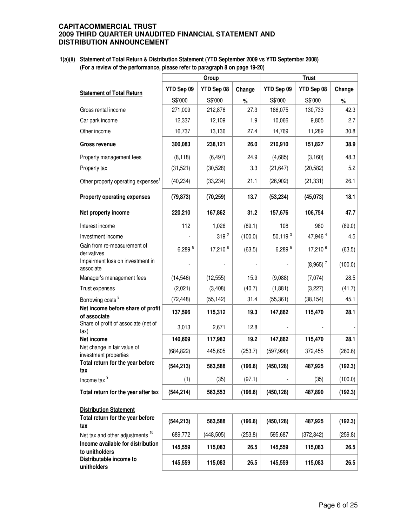**1(a)(ii) Statement of Total Return & Distribution Statement (YTD September 2009 vs YTD September 2008) (For a review of the performance, please refer to paragraph 8 on page 19-20)**

|                                                          |            | Group            |         | <b>Trust</b> |                        |         |  |
|----------------------------------------------------------|------------|------------------|---------|--------------|------------------------|---------|--|
| <b>Statement of Total Return</b>                         | YTD Sep 09 | YTD Sep 08       | Change  | YTD Sep 09   | YTD Sep 08             | Change  |  |
|                                                          | S\$'000    | S\$'000          | $\%$    | S\$'000      | S\$'000                | $\%$    |  |
| Gross rental income                                      | 271,009    | 212,876          | 27.3    | 186,075      | 130,733                | 42.3    |  |
| Car park income                                          | 12,337     | 12,109           | 1.9     | 10,066       | 9,805                  | 2.7     |  |
| Other income                                             | 16,737     | 13,136           | 27.4    | 14,769       | 11,289                 | 30.8    |  |
| <b>Gross revenue</b>                                     | 300,083    | 238,121          | 26.0    | 210,910      | 151,827                | 38.9    |  |
| Property management fees                                 | (8, 118)   | (6, 497)         | 24.9    | (4,685)      | (3, 160)               | 48.3    |  |
| Property tax                                             | (31, 521)  | (30, 528)        | 3.3     | (21, 647)    | (20, 582)              | 5.2     |  |
| Other property operating expenses <sup>1</sup>           | (40, 234)  | (33, 234)        | 21.1    | (26, 902)    | (21, 331)              | 26.1    |  |
| <b>Property operating expenses</b>                       | (79, 873)  | (70, 259)        | 13.7    | (53, 234)    | (45, 073)              | 18.1    |  |
| Net property income                                      | 220,210    | 167,862          | 31.2    | 157,676      | 106,754                | 47.7    |  |
| Interest income                                          | 112        | 1,026            | (89.1)  | 108          | 980                    | (89.0)  |  |
| Investment income                                        |            | 319 <sup>2</sup> | (100.0) | $50,119^{3}$ | 47,946 <sup>4</sup>    | 4.5     |  |
| Gain from re-measurement of<br>derivatives               | 6,289 5    | 17,210 6         | (63.5)  | 6,289 5      | 17,210 6               | (63.5)  |  |
| Impairment loss on investment in<br>associate            |            |                  |         |              | $(8,965)$ <sup>7</sup> | (100.0) |  |
| Manager's management fees                                | (14, 546)  | (12, 555)        | 15.9    | (9,088)      | (7,074)                | 28.5    |  |
| Trust expenses                                           | (2,021)    | (3,408)          | (40.7)  | (1,881)      | (3,227)                | (41.7)  |  |
| Borrowing costs <sup>8</sup>                             | (72, 448)  | (55, 142)        | 31.4    | (55, 361)    | (38, 154)              | 45.1    |  |
| Net income before share of profit<br>of associate        | 137,596    | 115,312          | 19.3    | 147,862      | 115,470                | 28.1    |  |
| Share of profit of associate (net of<br>tax)             | 3,013      | 2,671            | 12.8    |              |                        |         |  |
| Net income                                               | 140,609    | 117,983          | 19.2    | 147,862      | 115,470                | 28.1    |  |
| Net change in fair value of<br>investment properties     | (684, 822) | 445,605          | (253.7) | (597, 990)   | 372,455                | (260.6) |  |
| Total return for the year before                         | (544, 213) | 563,588          | (196.6) | (450, 128)   | 487,925                | (192.3) |  |
| іах<br>Income tax 9                                      | (1)        | (35)             | (97.1)  |              | (35)                   | (100.0) |  |
| Total return for the year after tax                      | (544, 214) | 563,553          | (196.6) | (450, 128)   | 487,890                | (192.3) |  |
| <b>Distribution Statement</b>                            |            |                  |         |              |                        |         |  |
| Total return for the year before                         | (544, 213) | 563,588          | (196.6) | (450, 128)   | 487,925                | (192.3) |  |
| tax<br>Net tax and other adjustments <sup>10</sup>       | 689,772    | (448, 505)       | (253.8) | 595,687      | (372, 842)             | (259.8) |  |
| Income available for distribution                        | 145,559    | 115,083          | 26.5    | 145,559      | 115,083                | 26.5    |  |
| to unitholders<br>Distributable income to<br>unitholders | 145,559    | 115,083          | 26.5    | 145,559      | 115,083                | 26.5    |  |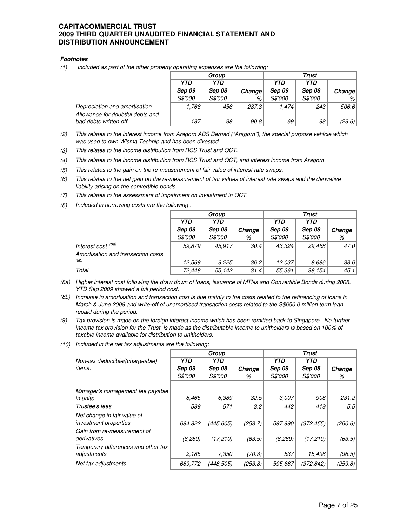#### **Footnotes**

(1) Included as part of the other property operating expenses are the following:

|                                                           |                          | Group          |        | Trust          |            |        |
|-----------------------------------------------------------|--------------------------|----------------|--------|----------------|------------|--------|
|                                                           | <b>YTD</b><br><b>YTD</b> |                |        | <b>YTD</b>     | <b>YTD</b> |        |
|                                                           | <b>Sep 09</b>            | Sep 08         | Change | <b>Sep 09</b>  | Sep 08     | Change |
|                                                           | <i>S\$'000</i>           | <i>S\$'000</i> | %      | <i>S\$'000</i> | S\$'000    | %      |
| Depreciation and amortisation                             | 1,766                    | 456'           | 287.3  | 1.474          | 243        | 506.6  |
| Allowance for doubtful debts and<br>bad debts written off | 187                      | 98             | 90.8   | 69             | 98         | (29.6) |

- (2) This relates to the interest income from Aragorn ABS Berhad ("Aragorn"), the special purpose vehicle which was used to own Wisma Technip and has been divested.
- (3) This relates to the income distribution from RCS Trust and QCT.
- (4) This relates to the income distribution from RCS Trust and QCT, and interest income from Aragorn.
- (5) This relates to the gain on the re-measurement of fair value of interest rate swaps.
- (6) This relates to the net gain on the re-measurement of fair values of interest rate swaps and the derivative liability arising on the convertible bonds.
- (7) This relates to the assessment of impairment on investment in QCT.
- (8) Included in borrowing costs are the following :

|                                    |                | Group          |        | Trust          |            |        |  |
|------------------------------------|----------------|----------------|--------|----------------|------------|--------|--|
|                                    | <b>YTD</b>     | <b>YTD</b>     |        | <b>YTD</b>     | <b>YTD</b> |        |  |
|                                    | <b>Sep 09</b>  | Sep 08         | Change | <b>Sep 09</b>  | Sep 08     | Change |  |
|                                    | <i>S\$'000</i> | <i>S\$'000</i> | %      | <i>S\$'000</i> | S\$'000    | %      |  |
| Interest cost <sup>(8a)</sup>      | 59.879         | 45,917         | 30.4   | 43,324         | 29,468     | 47.0   |  |
| Amortisation and transaction costs |                |                |        |                |            |        |  |
| (8b)                               | 12.569         | 9,225          | 36.2   | 12.037         | 8.686      | 38.6   |  |
| Total                              | 72,448         | 55,142         | 31.4   | 55,361         | 38,154     | 45.1   |  |

- (8a) Higher interest cost following the draw down of loans, issuance of MTNs and Convertible Bonds during 2008. YTD Sep 2009 showed a full period cost.
- (8b) Increase in amortisation and transaction cost is due mainly to the costs related to the refinancing of loans in March & June 2009 and write-off of unamortised transaction costs related to the S\$650.0 million term loan repaid during the period.
- (9) Tax provision is made on the foreign interest income which has been remitted back to Singapore. No further income tax provision for the Trust is made as the distributable income to unitholders is based on 100% of taxable income available for distribution to unitholders.
- (10) Included in the net tax adjustments are the following:

|                                                                                   |                | Group          |         | Trust          |                |         |  |
|-----------------------------------------------------------------------------------|----------------|----------------|---------|----------------|----------------|---------|--|
| Non-tax deductible/(chargeable)                                                   | <b>YTD</b>     | <b>YTD</b>     |         | <b>YTD</b>     | <b>YTD</b>     |         |  |
| <i>items:</i>                                                                     | <b>Sep 09</b>  | Sep 08         | Change  | <b>Sep 09</b>  | <b>Sep 08</b>  | Change  |  |
|                                                                                   | <i>S\$'000</i> | <i>S\$'000</i> | %       | <i>S\$'000</i> | <i>S\$'000</i> | %       |  |
| Manager's management fee payable                                                  |                |                |         |                |                |         |  |
| in units                                                                          | 8.465          | 6.389          | 32.5    | 3.007          | 908            | 231.2   |  |
| Trustee's fees                                                                    | 589            | 571            | 3.2     | 442            | 419            | 5.5     |  |
| Net change in fair value of<br><i>investment properties</i>                       | 684,822        | (445, 605)     | (253.7) | 597.990        | (372, 455)     | (260.6) |  |
| Gain from re-measurement of<br>derivatives<br>Temporary differences and other tax | (6, 289)       | (17, 210)      | (63.5)  | (6, 289)       | (17,210)       | (63.5)  |  |
| adjustments                                                                       | 2,185          | 7,350          | (70.3)  | 537            | 15,496         | (96.5)  |  |
| Net tax adjustments                                                               | 689,772        | (448,505)      | (253.8) | 595.687        | (372,842)      | (259.8) |  |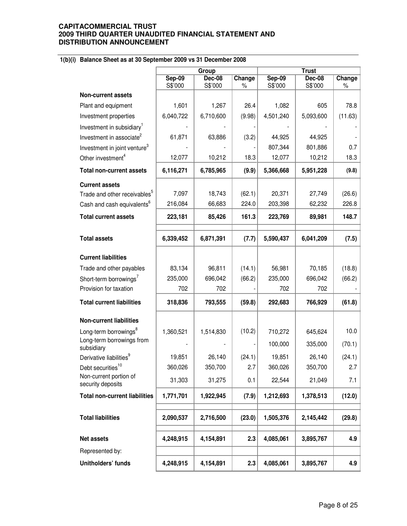## **1(b)(i) Balance Sheet as at 30 September 2009 vs 31 December 2008**

|                                             |                          | Group                    |             |                          | <b>Trust</b>             |                |
|---------------------------------------------|--------------------------|--------------------------|-------------|--------------------------|--------------------------|----------------|
|                                             | <b>Sep-09</b><br>S\$'000 | <b>Dec-08</b><br>S\$'000 | Change<br>% | <b>Sep-09</b><br>S\$'000 | <b>Dec-08</b><br>S\$'000 | Change<br>$\%$ |
| <b>Non-current assets</b>                   |                          |                          |             |                          |                          |                |
| Plant and equipment                         | 1,601                    | 1,267                    | 26.4        | 1,082                    | 605                      | 78.8           |
| Investment properties                       | 6,040,722                | 6,710,600                | (9.98)      | 4,501,240                | 5,093,600                | (11.63)        |
| Investment in subsidiary <sup>1</sup>       |                          |                          |             |                          |                          |                |
| Investment in associate <sup>2</sup>        | 61,871                   | 63,886                   | (3.2)       | 44,925                   | 44,925                   |                |
| Investment in joint venture <sup>3</sup>    |                          |                          |             | 807,344                  | 801,886                  | 0.7            |
| Other investment <sup>4</sup>               | 12,077                   | 10,212                   | 18.3        | 12,077                   | 10,212                   | 18.3           |
| <b>Total non-current assets</b>             | 6,116,271                | 6,785,965                | (9.9)       | 5,366,668                | 5,951,228                | (9.8)          |
| <b>Current assets</b>                       |                          |                          |             |                          |                          |                |
| Trade and other receivables <sup>5</sup>    | 7,097                    | 18,743                   | (62.1)      | 20,371                   | 27,749                   | (26.6)         |
| Cash and cash equivalents <sup>6</sup>      | 216,084                  | 66,683                   | 224.0       | 203,398                  | 62,232                   | 226.8          |
| <b>Total current assets</b>                 | 223,181                  | 85,426                   | 161.3       | 223,769                  | 89,981                   | 148.7          |
| <b>Total assets</b>                         | 6,339,452                | 6,871,391                | (7.7)       | 5,590,437                | 6,041,209                | (7.5)          |
|                                             |                          |                          |             |                          |                          |                |
| <b>Current liabilities</b>                  |                          |                          |             |                          |                          |                |
| Trade and other payables                    | 83,134                   | 96,811                   | (14.1)      | 56,981                   | 70,185                   | (18.8)         |
| Short-term borrowings <sup>7</sup>          | 235,000                  | 696,042                  | (66.2)      | 235,000                  | 696,042                  | (66.2)         |
| Provision for taxation                      | 702                      | 702                      |             | 702                      | 702                      |                |
| <b>Total current liabilities</b>            | 318,836                  | 793,555                  | (59.8)      | 292,683                  | 766,929                  | (61.8)         |
| <b>Non-current liabilities</b>              |                          |                          |             |                          |                          |                |
| Long-term borrowings <sup>8</sup>           | 1,360,521                | 1,514,830                | (10.2)      | 710,272                  | 645,624                  | 10.0           |
| Long-term borrowings from<br>subsidiary     |                          |                          |             | 100,000                  | 335,000                  | (70.1)         |
| Derivative liabilities <sup>9</sup>         | 19,851                   | 26,140                   | (24.1)      | 19,851                   | 26,140                   | (24.1)         |
| Debt securities <sup>10</sup>               | 360,026                  | 350,700                  | 2.7         | 360,026                  | 350,700                  | 2.7            |
| Non-current portion of<br>security deposits | 31,303                   | 31,275                   | 0.1         | 22,544                   | 21,049                   | 7.1            |
| <b>Total non-current liabilities</b>        | 1,771,701                | 1,922,945                | (7.9)       | 1,212,693                | 1,378,513                | (12.0)         |
| <b>Total liabilities</b>                    | 2,090,537                | 2,716,500                | (23.0)      | 1,505,376                | 2,145,442                | (29.8)         |
| Net assets                                  | 4,248,915                | 4,154,891                | 2.3         | 4,085,061                | 3,895,767                | 4.9            |
|                                             |                          |                          |             |                          |                          |                |
| Represented by:                             |                          |                          |             |                          |                          |                |
| Unitholders' funds                          | 4,248,915                | 4,154,891                | 2.3         | 4,085,061                | 3,895,767                | 4.9            |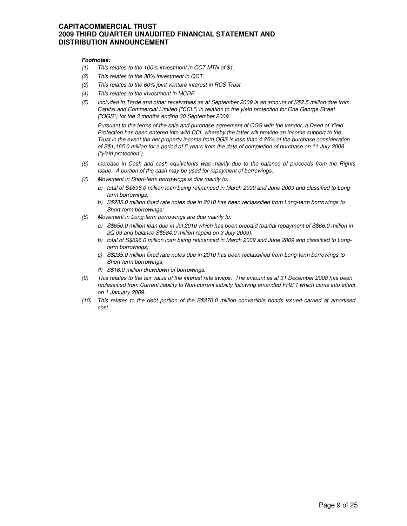#### **Footnotes:**

- (1) This relates to the 100% investment in CCT MTN of \$1.
- (2) This relates to the 30% investment in QCT.
- (3) This relates to the 60% joint venture interest in RCS Trust.
- (4) This relates to the investment in MCDF.
- (5) Included in Trade and other receivables as at September 2009 is an amount of S\$2.5 million due from CapitaLand Commercial Limited ("CCL") in relation to the yield protection for One George Street ("OGS") for the 3 months ending 30 September 2009.

Pursuant to the terms of the sale and purchase agreement of OGS with the vendor, a Deed of Yield Protection has been entered into with CCL whereby the latter will provide an income support to the Trust in the event the net property income from OGS is less than 4.25% of the purchase consideration of S\$1,165.0 million for a period of 5 years from the date of completion of purchase on 11 July 2008 ("yield protection")

- (6) Increase in Cash and cash equivalents was mainly due to the balance of proceeds from the Rights Issue. A portion of the cash may be used for repayment of borrowings.
- (7) Movement in Short-term borrowings is due mainly to:
	- a) total of S\$696.0 million loan being refinanced in March 2009 and June 2009 and classified to Longterm borrowings;
	- b) S\$235.0 million fixed rate notes due in 2010 has been reclassified from Long-term borrowings to Short-term borrowings;
- (8) Movement in Long-term borrowings are due mainly to:
	- a) S\$650.0 million loan due in Jul 2010 which has been prepaid (partial repayment of S\$66.0 million in 2Q 09 and balance S\$584.0 million repaid on 3 July 2009).
	- b) total of S\$696.0 million loan being refinanced in March 2009 and June 2009 and classified to Longterm borrowings;
	- c) S\$235.0 million fixed rate notes due in 2010 has been reclassified from Long-term borrowings to Short-term borrowings;
	- d) S\$16.0 million drawdown of borrowings.
- (9) This relates to the fair value of the interest rate swaps. The amount as at 31 December 2008 has been reclassified from Current liability to Non-current liability following amended FRS 1 which came into effect on 1 January 2009.
- (10) This relates to the debt portion of the S\$370.0 million convertible bonds issued carried at amortised cost.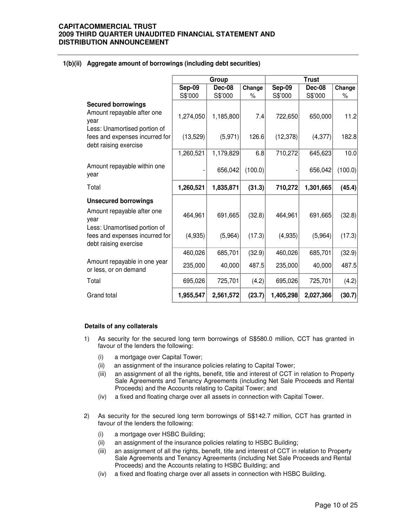|                                                                                                 |           | Group         |         | <b>Trust</b> |               |         |  |
|-------------------------------------------------------------------------------------------------|-----------|---------------|---------|--------------|---------------|---------|--|
|                                                                                                 | Sep-09    | <b>Dec-08</b> | Change  | Sep-09       | <b>Dec-08</b> | Change  |  |
|                                                                                                 | S\$'000   | S\$'000       | %       | S\$'000      | S\$'000       | %       |  |
| <b>Secured borrowings</b><br>Amount repayable after one<br>year<br>Less: Unamortised portion of | 1,274,050 | 1,185,800     | 7.4     | 722,650      | 650,000       | 11.2    |  |
| fees and expenses incurred for<br>debt raising exercise                                         | (13,529)  | (5,971)       | 126.6   | (12, 378)    | (4, 377)      | 182.8   |  |
|                                                                                                 | 1,260,521 | 1,179,829     | 6.8     | 710,272      | 645,623       | 10.0    |  |
| Amount repayable within one<br>year                                                             |           | 656,042       | (100.0) |              | 656,042       | (100.0) |  |
| Total                                                                                           | 1,260,521 | 1,835,871     | (31.3)  | 710,272      | 1,301,665     | (45.4)  |  |
| <b>Unsecured borrowings</b>                                                                     |           |               |         |              |               |         |  |
| Amount repayable after one<br>year                                                              | 464,961   | 691,665       | (32.8)  | 464,961      | 691,665       | (32.8)  |  |
| Less: Unamortised portion of<br>fees and expenses incurred for<br>debt raising exercise         | (4,935)   | (5,964)       | (17.3)  | (4,935)      | (5,964)       | (17.3)  |  |
|                                                                                                 | 460,026   | 685,701       | (32.9)  | 460,026      | 685,701       | (32.9)  |  |
| Amount repayable in one year<br>or less, or on demand                                           | 235,000   | 40,000        | 487.5   | 235,000      | 40,000        | 487.5   |  |
| Total                                                                                           | 695,026   | 725,701       | (4.2)   | 695,026      | 725,701       | (4.2)   |  |
| Grand total                                                                                     | 1,955,547 | 2,561,572     | (23.7)  | 1,405,298    | 2,027,366     | (30.7)  |  |

#### **1(b)(ii) Aggregate amount of borrowings (including debt securities)**

#### **Details of any collaterals**

- 1) As security for the secured long term borrowings of S\$580.0 million, CCT has granted in favour of the lenders the following:
	- (i) a mortgage over Capital Tower;
	- (ii) an assignment of the insurance policies relating to Capital Tower;
	- (iii) an assignment of all the rights, benefit, title and interest of CCT in relation to Property Sale Agreements and Tenancy Agreements (including Net Sale Proceeds and Rental Proceeds) and the Accounts relating to Capital Tower; and
	- (iv) a fixed and floating charge over all assets in connection with Capital Tower.
- 2) As security for the secured long term borrowings of S\$142.7 million, CCT has granted in favour of the lenders the following:
	- (i) a mortgage over HSBC Building;
	- (ii) an assignment of the insurance policies relating to HSBC Building;
	- (iii) an assignment of all the rights, benefit, title and interest of CCT in relation to Property Sale Agreements and Tenancy Agreements (including Net Sale Proceeds and Rental Proceeds) and the Accounts relating to HSBC Building; and
	- (iv) a fixed and floating charge over all assets in connection with HSBC Building.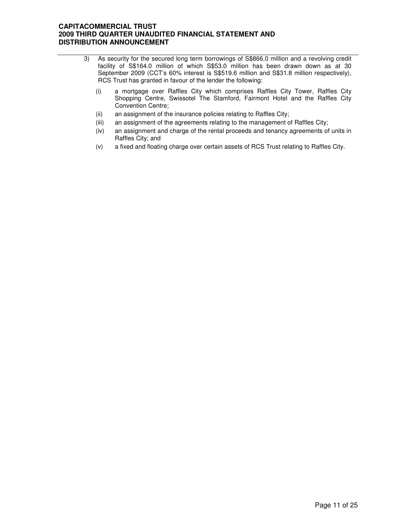- 3) As security for the secured long term borrowings of S\$866.0 million and a revolving credit facility of S\$164.0 million of which S\$53.0 million has been drawn down as at 30 September 2009 (CCT's 60% interest is S\$519.6 million and S\$31.8 million respectively), RCS Trust has granted in favour of the lender the following:
	- (i) a mortgage over Raffles City which comprises Raffles City Tower, Raffles City Shopping Centre, Swissotel The Stamford, Fairmont Hotel and the Raffles City Convention Centre;
	- (ii) an assignment of the insurance policies relating to Raffles City;
	- (iii) an assignment of the agreements relating to the management of Raffles City;
	- (iv) an assignment and charge of the rental proceeds and tenancy agreements of units in Raffles City; and
	- (v) a fixed and floating charge over certain assets of RCS Trust relating to Raffles City.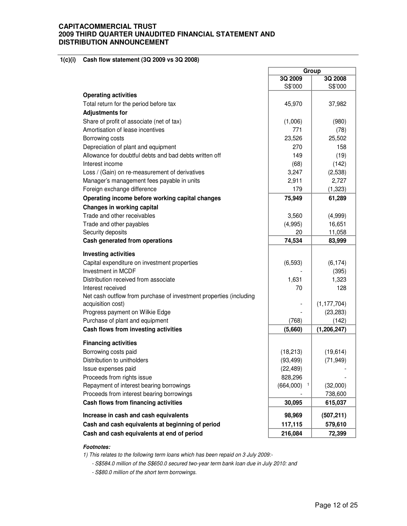#### **1(c)(i) Cash flow statement (3Q 2009 vs 3Q 2008)**

|                                                                    | Group     |               |
|--------------------------------------------------------------------|-----------|---------------|
|                                                                    | 3Q 2009   | 3Q 2008       |
|                                                                    | S\$'000   | S\$'000       |
| <b>Operating activities</b>                                        |           |               |
| Total return for the period before tax                             | 45,970    | 37,982        |
| <b>Adjustments for</b>                                             |           |               |
| Share of profit of associate (net of tax)                          | (1,006)   | (980)         |
| Amortisation of lease incentives                                   | 771       | (78)          |
| Borrowing costs                                                    | 23,526    | 25,502        |
| Depreciation of plant and equipment                                | 270       | 158           |
| Allowance for doubtful debts and bad debts written off             | 149       | (19)          |
| Interest income                                                    | (68)      | (142)         |
| Loss / (Gain) on re-measurement of derivatives                     | 3,247     | (2,538)       |
| Manager's management fees payable in units                         | 2,911     | 2,727         |
| Foreign exchange difference                                        | 179       | (1, 323)      |
| Operating income before working capital changes                    | 75,949    | 61,289        |
| Changes in working capital                                         |           |               |
| Trade and other receivables                                        | 3,560     | (4,999)       |
| Trade and other payables                                           | (4,995)   | 16,651        |
| Security deposits                                                  | 20        | 11,058        |
| Cash generated from operations                                     | 74,534    | 83,999        |
|                                                                    |           |               |
| <b>Investing activities</b>                                        |           |               |
| Capital expenditure on investment properties                       | (6, 593)  | (6, 174)      |
| Investment in MCDF                                                 |           | (395)         |
| Distribution received from associate                               | 1,631     | 1,323         |
| Interest received                                                  | 70        | 128           |
| Net cash outflow from purchase of investment properties (including |           |               |
| acquisition cost)                                                  |           | (1, 177, 704) |
| Progress payment on Wilkie Edge                                    |           | (23, 283)     |
| Purchase of plant and equipment                                    | (768)     | (142)         |
| Cash flows from investing activities                               | (5,660)   | (1, 206, 247) |
| <b>Financing activities</b>                                        |           |               |
| Borrowing costs paid                                               | (18, 213) | (19, 614)     |
| Distribution to unitholders                                        | (93, 499) | (71, 949)     |
| Issue expenses paid                                                | (22, 489) |               |
| Proceeds from rights issue                                         | 828,296   |               |
| Repayment of interest bearing borrowings                           | (664,000) | (32,000)      |
| Proceeds from interest bearing borrowings                          |           | 738,600       |
| Cash flows from financing activities                               | 30,095    | 615,037       |
| Increase in cash and cash equivalents                              | 98,969    | (507, 211)    |
| Cash and cash equivalents at beginning of period                   | 117,115   | 579,610       |
| Cash and cash equivalents at end of period                         | 216,084   | 72,399        |
|                                                                    |           |               |

H

#### **Footnotes:**

1) This relates to the following term loans which has been repaid on 3 July 2009:-

- S\$584.0 million of the S\$650.0 secured two-year term bank loan due in July 2010: and

- S\$80.0 million of the short term borrowings.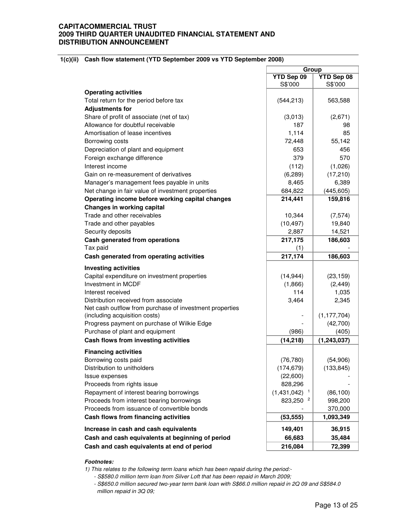#### **1(c)(ii) Cash flow statement (YTD September 2009 vs YTD September 2008)**

|                                                         | Group                |                       |
|---------------------------------------------------------|----------------------|-----------------------|
|                                                         | YTD Sep 09           | YTD Sep 08            |
|                                                         | S\$'000              | S\$'000               |
| <b>Operating activities</b>                             |                      |                       |
| Total return for the period before tax                  | (544, 213)           | 563,588               |
| <b>Adjustments for</b>                                  |                      |                       |
| Share of profit of associate (net of tax)               | (3,013)              | (2,671)               |
| Allowance for doubtful receivable                       | 187                  | 98                    |
| Amortisation of lease incentives                        | 1,114                | 85                    |
| Borrowing costs                                         | 72,448               | 55,142                |
| Depreciation of plant and equipment                     | 653                  | 456                   |
| Foreign exchange difference                             | 379                  | 570                   |
| Interest income                                         | (112)                | (1,026)               |
| Gain on re-measurement of derivatives                   | (6,289)              | (17, 210)             |
| Manager's management fees payable in units              | 8,465                | 6,389                 |
| Net change in fair value of investment properties       | 684,822              | (445, 605)            |
| Operating income before working capital changes         | 214,441              | 159,816               |
| <b>Changes in working capital</b>                       |                      |                       |
| Trade and other receivables                             | 10,344               | (7, 574)              |
| Trade and other payables                                | (10, 497)            | 19,840                |
| Security deposits                                       | 2,887                | 14,521                |
| Cash generated from operations                          | 217,175              | 186,603               |
| Tax paid                                                | (1)                  |                       |
| Cash generated from operating activities                | 217,174              | 186,603               |
| <b>Investing activities</b>                             |                      |                       |
| Capital expenditure on investment properties            |                      |                       |
| Investment in MCDF                                      | (14, 944)<br>(1,866) | (23, 159)<br>(2, 449) |
| Interest received                                       | 114                  | 1,035                 |
| Distribution received from associate                    | 3,464                | 2,345                 |
| Net cash outflow from purchase of investment properties |                      |                       |
| (including acquisition costs)                           |                      | (1, 177, 704)         |
| Progress payment on purchase of Wilkie Edge             |                      | (42,700)              |
| Purchase of plant and equipment                         | (986)                | (405)                 |
| Cash flows from investing activities                    | (14, 218)            | (1, 243, 037)         |
|                                                         |                      |                       |
| <b>Financing activities</b>                             |                      |                       |
| Borrowing costs paid                                    | (76, 780)            | (54,906)              |
| Distribution to unitholders                             | (174, 679)           | (133, 845)            |
| Issue expenses                                          | (22,600)             |                       |
| Proceeds from rights issue                              | 828,296              |                       |
| Repayment of interest bearing borrowings                | (1,431,042)          | (86, 100)             |
| Proceeds from interest bearing borrowings               | 823,250              | 998,200               |
| Proceeds from issuance of convertible bonds             |                      | 370,000               |
| Cash flows from financing activities                    | (53, 555)            | 1,093,349             |
| Increase in cash and cash equivalents                   | 149,401              | 36,915                |
| Cash and cash equivalents at beginning of period        | 66,683               | 35,484                |
| Cash and cash equivalents at end of period              | 216,084              | 72,399                |

#### **Footnotes:**

1) This relates to the following term loans which has been repaid during the period:-

- S\$580.0 million term loan from Silver Loft that has been repaid in March 2009;

 - S\$650.0 million secured two-year term bank loan with S\$66.0 million repaid in 2Q 09 and S\$584.0 million repaid in 3Q 09;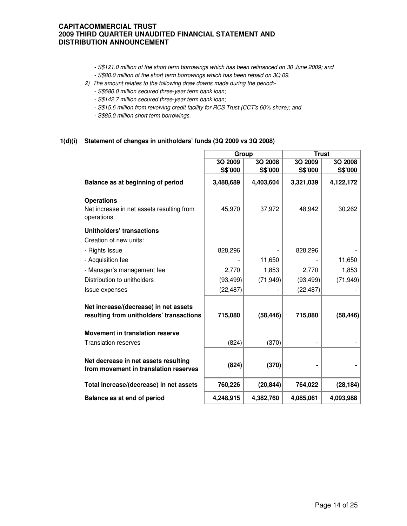- S\$121.0 million of the short term borrowings which has been refinanced on 30 June 2009; and
- S\$80.0 million of the short term borrowings which has been repaid on 3Q 09.
- 2) The amount relates to the following draw downs made during the period:-
	- S\$580.0 million secured three-year term bank loan;
	- S\$142.7 million secured three-year term bank loan;
	- S\$15.6 million from revolving credit facility for RCS Trust (CCT's 60% share); and
	- S\$85.0 million short term borrowings.

### **1(d)(i) Statement of changes in unitholders' funds (3Q 2009 vs 3Q 2008)**

|                                                                               | Group     |           | <b>Trust</b> |           |
|-------------------------------------------------------------------------------|-----------|-----------|--------------|-----------|
|                                                                               | 3Q 2009   | 3Q 2008   | 3Q 2009      | 3Q 2008   |
|                                                                               | S\$'000   | S\$'000   | S\$'000      | S\$'000   |
| Balance as at beginning of period                                             | 3,488,689 | 4,403,604 | 3,321,039    | 4,122,172 |
| <b>Operations</b>                                                             |           |           |              |           |
| Net increase in net assets resulting from<br>operations                       | 45,970    | 37,972    | 48,942       | 30,262    |
| <b>Unitholders' transactions</b>                                              |           |           |              |           |
| Creation of new units:                                                        |           |           |              |           |
| - Rights Issue                                                                | 828,296   |           | 828,296      |           |
| - Acquisition fee                                                             |           | 11,650    |              | 11,650    |
| - Manager's management fee                                                    | 2,770     | 1,853     | 2,770        | 1,853     |
| Distribution to unitholders                                                   | (93, 499) | (71, 949) | (93, 499)    | (71, 949) |
| Issue expenses                                                                | (22, 487) |           | (22, 487)    |           |
| Net increase/(decrease) in net assets                                         |           |           |              |           |
| resulting from unitholders' transactions                                      | 715,080   | (58, 446) | 715,080      | (58, 446) |
| <b>Movement in translation reserve</b>                                        |           |           |              |           |
| <b>Translation reserves</b>                                                   | (824)     | (370)     |              |           |
|                                                                               |           |           |              |           |
| Net decrease in net assets resulting<br>from movement in translation reserves | (824)     | (370)     |              |           |
| Total increase/(decrease) in net assets                                       | 760,226   | (20, 844) | 764,022      | (28, 184) |
| Balance as at end of period                                                   | 4,248,915 | 4,382,760 | 4,085,061    | 4,093,988 |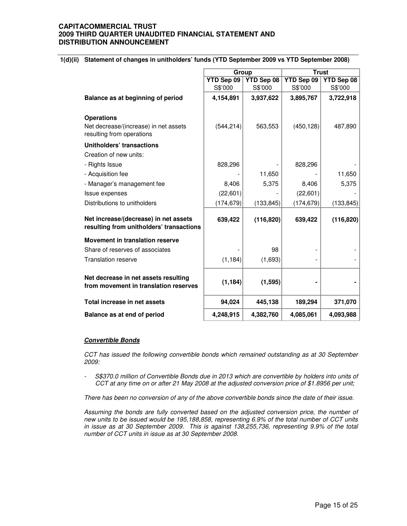#### **1(d)(ii) Statement of changes in unitholders' funds (YTD September 2009 vs YTD September 2008)**

|                                                                                   | Group      |                                        | <b>Trust</b> |            |
|-----------------------------------------------------------------------------------|------------|----------------------------------------|--------------|------------|
|                                                                                   | YTD Sep 09 | <b>YTD Sep 08</b><br><b>YTD Sep 09</b> |              | YTD Sep 08 |
|                                                                                   | S\$'000    | S\$'000                                | S\$'000      | S\$'000    |
| Balance as at beginning of period                                                 | 4,154,891  | 3,937,622                              | 3,895,767    | 3,722,918  |
| <b>Operations</b>                                                                 |            |                                        |              |            |
| Net decrease/(increase) in net assets<br>resulting from operations                | (544, 214) | 563,553                                | (450, 128)   | 487,890    |
| <b>Unitholders' transactions</b>                                                  |            |                                        |              |            |
| Creation of new units:                                                            |            |                                        |              |            |
| - Rights Issue                                                                    | 828,296    |                                        | 828,296      |            |
| - Acquisition fee                                                                 |            | 11,650                                 |              | 11,650     |
| - Manager's management fee                                                        | 8,406      | 5,375                                  | 8,406        | 5,375      |
| Issue expenses                                                                    | (22,601)   |                                        | (22,601)     |            |
| Distributions to unitholders                                                      | (174, 679) | (133, 845)                             | (174, 679)   | (133, 845) |
| Net increase/(decrease) in net assets<br>resulting from unitholders' transactions | 639,422    | (116, 820)                             | 639,422      | (116, 820) |
| <b>Movement in translation reserve</b>                                            |            |                                        |              |            |
| Share of reserves of associates                                                   |            | 98                                     |              |            |
| <b>Translation reserve</b>                                                        | (1, 184)   | (1,693)                                |              |            |
| Net decrease in net assets resulting<br>from movement in translation reserves     | (1, 184)   | (1, 595)                               |              |            |
| Total increase in net assets                                                      | 94,024     | 445,138                                | 189,294      | 371,070    |
| Balance as at end of period                                                       | 4,248,915  | 4,382,760                              | 4,085,061    | 4,093,988  |

#### **Convertible Bonds**

CCT has issued the following convertible bonds which remained outstanding as at 30 September 2009:

- S\$370.0 million of Convertible Bonds due in 2013 which are convertible by holders into units of CCT at any time on or after 21 May 2008 at the adjusted conversion price of \$1.8956 per unit;

There has been no conversion of any of the above convertible bonds since the date of their issue.

Assuming the bonds are fully converted based on the adjusted conversion price, the number of new units to be issued would be 195,188,858, representing 6.9% of the total number of CCT units in issue as at 30 September 2009. This is against 138,255,736, representing 9.9% of the total number of CCT units in issue as at 30 September 2008.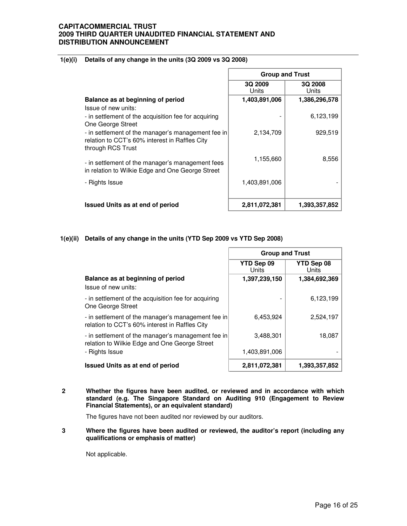### **1(e)(i) Details of any change in the units (3Q 2009 vs 3Q 2008)**

|                                                                                                                           | <b>Group and Trust</b> |                  |  |
|---------------------------------------------------------------------------------------------------------------------------|------------------------|------------------|--|
|                                                                                                                           | 3Q 2009<br>Units       | 3Q 2008<br>Units |  |
| Balance as at beginning of period                                                                                         | 1,403,891,006          | 1,386,296,578    |  |
| Issue of new units:                                                                                                       |                        |                  |  |
| - in settlement of the acquisition fee for acquiring<br>One George Street                                                 |                        | 6,123,199        |  |
| - in settlement of the manager's management fee in<br>relation to CCT's 60% interest in Raffles City<br>through RCS Trust | 2,134,709              | 929,519          |  |
| - in settlement of the manager's management fees<br>in relation to Wilkie Edge and One George Street                      | 1,155,660              | 8,556            |  |
| - Rights Issue                                                                                                            | 1,403,891,006          |                  |  |
| <b>Issued Units as at end of period</b>                                                                                   | 2,811,072,381          | 1,393,357,852    |  |

#### **1(e)(ii) Details of any change in the units (YTD Sep 2009 vs YTD Sep 2008)**

|                                                                                                      | <b>Group and Trust</b>     |                     |  |
|------------------------------------------------------------------------------------------------------|----------------------------|---------------------|--|
|                                                                                                      | YTD Sep 09<br><b>Units</b> | YTD Sep 08<br>Units |  |
| Balance as at beginning of period<br>Issue of new units:                                             | 1,397,239,150              | 1,384,692,369       |  |
| - in settlement of the acquisition fee for acquiring<br>One George Street                            |                            | 6,123,199           |  |
| - in settlement of the manager's management fee in<br>relation to CCT's 60% interest in Raffles City | 6.453.924                  | 2,524,197           |  |
| - in settlement of the manager's management fee in<br>relation to Wilkie Edge and One George Street  | 3,488,301                  | 18,087              |  |
| - Rights Issue                                                                                       | 1,403,891,006              |                     |  |
| <b>Issued Units as at end of period</b>                                                              | 2,811,072,381              | 1,393,357,852       |  |

ř.

**2 Whether the figures have been audited, or reviewed and in accordance with which standard (e.g. The Singapore Standard on Auditing 910 (Engagement to Review Financial Statements), or an equivalent standard)** 

The figures have not been audited nor reviewed by our auditors.

**3 Where the figures have been audited or reviewed, the auditor's report (including any qualifications or emphasis of matter)** 

Not applicable.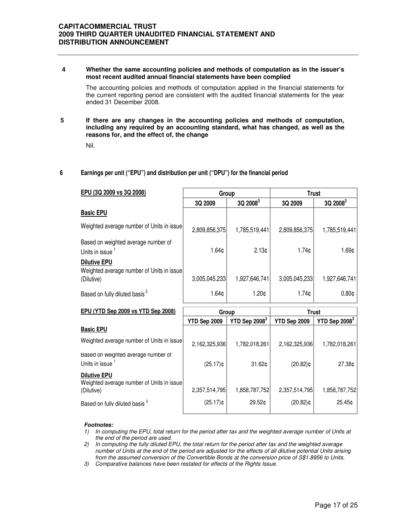#### **4 Whether the same accounting policies and methods of computation as in the issuer's most recent audited annual financial statements have been complied**

The accounting policies and methods of computation applied in the financial statements for the current reporting period are consistent with the audited financial statements for the year ended 31 December 2008.

#### **5 If there are any changes in the accounting policies and methods of computation, including any required by an accounting standard, what has changed, as well as the reasons for, and the effect of, the change**

Nil.

#### **6 Earnings per unit ("EPU") and distribution per unit ("DPU") for the financial period**

| EPU (3Q 2009 vs 3Q 2008)                                                       | Group             |                   | <b>Trust</b>  |                   |              |  |
|--------------------------------------------------------------------------------|-------------------|-------------------|---------------|-------------------|--------------|--|
|                                                                                | 3Q 2009           | $3Q\,2008^3$      | 3Q 2009       | $3Q\,2008^3$      |              |  |
| <b>Basic EPU</b>                                                               |                   |                   |               |                   |              |  |
| Weighted average number of Units in issue                                      | 2,809,856,375     | 1,785,519,441     | 2,809,856,375 | 1,785,519,441     |              |  |
| Based on weighted average number of<br>Units in issue                          | 1.64¢             | 2.13 <sub>¢</sub> | 1.74c         | 1.69¢             |              |  |
| <b>Dilutive EPU</b><br>Weighted average number of Units in issue<br>(Dilutive) | 3,005,045,233     | 1,927,646,741     | 3,005,045,233 | 1,927,646,741     |              |  |
| Based on fully diluted basis <sup>2</sup>                                      | 1.64 <sub>0</sub> | 1.20 <sub>¢</sub> | 1.74c         | 0.80 <sub>¢</sub> |              |  |
| EPU (YTD Sep 2009 vs YTD Sep 2008)                                             | Group             |                   |               |                   | <b>Trust</b> |  |
|                                                                                | YTD Sep 2009      | YTD Sep $20083$   | YTD Sep 2009  | YTD Sep $2008^3$  |              |  |
| <b>Basic EPU</b>                                                               |                   |                   |               |                   |              |  |
| Weighted average number of Units in issue                                      | 2,162,325,936     | 1,782,018,261     | 2,162,325,936 | 1,782,018,261     |              |  |

Based on weighted average number of Units in issue <sup>1</sup>

#### **Dilutive EPU**

Weighted average number of Units in issue (Dilutive) 2,357,514,795 1,858,787,752 2,357,514,795 1,858,787,752

Based on fully diluted basis  $^{2}$  (25.17)¢ 29.52¢ (20.82)¢ (20.82)¢ 25.45¢

#### **Footnotes:**

1) In computing the EPU, total return for the period after tax and the weighted average number of Units at the end of the period are used.

 $(25.17)$ ¢ 31.62¢ (20.82)¢ 27.38¢

2) In computing the fully diluted EPU, the total return for the period after tax and the weighted average number of Units at the end of the period are adjusted for the effects of all dilutive potential Units arising from the assumed conversion of the Convertible Bonds at the conversion price of S\$1.8956 to Units.

3) Comparative balances have been restated for effects of the Rights Issue.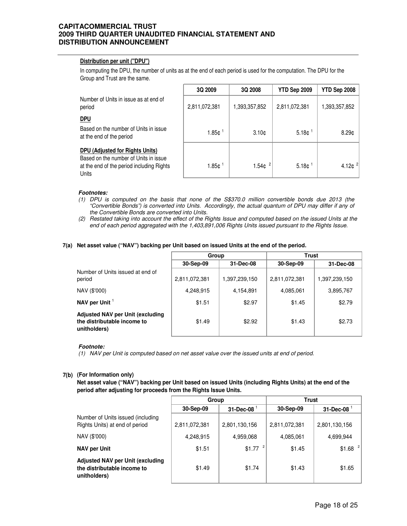#### **Distribution per unit ("DPU")**

In computing the DPU, the number of units as at the end of each period is used for the computation. The DPU for the Group and Trust are the same.

|                                                                                                                                | 3Q 2009              | <b>3Q 2008</b>    | YTD Sep 2009      | YTD Sep 2008                     |
|--------------------------------------------------------------------------------------------------------------------------------|----------------------|-------------------|-------------------|----------------------------------|
| Number of Units in issue as at end of<br>period                                                                                | 2,811,072,381        | 1,393,357,852     | 2,811,072,381     | 1,393,357,852                    |
| <u>DPU</u>                                                                                                                     |                      |                   |                   |                                  |
| Based on the number of Units in issue<br>at the end of the period                                                              | $1.85c$ <sup>1</sup> | 3.10 <sub>c</sub> | 5.18 <sub>¢</sub> | 8.29 <sub>0</sub>                |
| DPU (Adjusted for Rights Units)<br>Based on the number of Units in issue<br>at the end of the period including Rights<br>Units | 1.85c                | 1.54 $e^{2}$      | 5.18 <sub>¢</sub> | 4.12 $\mathfrak{c}$ <sup>2</sup> |

#### **Footnotes:**

- (1) DPU is computed on the basis that none of the S\$370.0 million convertible bonds due 2013 (the "Convertible Bonds") is converted into Units. Accordingly, the actual quantum of DPU may differ if any of the Convertible Bonds are converted into Units.
- (2) Restated taking into account the effect of the Rights Issue and computed based on the issued Units at the end of each period aggregated with the 1,403,891,006 Rights Units issued pursuant to the Rights Issue.

#### **7(a) Net asset value ("NAV") backing per Unit based on issued Units at the end of the period.**

|                                                                                        | Group         |               | <b>Trust</b>  |               |
|----------------------------------------------------------------------------------------|---------------|---------------|---------------|---------------|
|                                                                                        | 30-Sep-09     | 31-Dec-08     | 30-Sep-09     | 31-Dec-08     |
| Number of Units issued at end of<br>period                                             | 2,811,072,381 | 1,397,239,150 | 2,811,072,381 | 1,397,239,150 |
| NAV (\$'000)                                                                           | 4,248,915     | 4,154,891     | 4,085,061     | 3,895,767     |
| NAV per Unit $1$                                                                       | \$1.51        | \$2.97        | \$1.45        | \$2.79        |
| <b>Adjusted NAV per Unit (excluding</b><br>the distributable income to<br>unitholders) | \$1.49        | \$2.92        | \$1.43        | \$2.73        |

#### **Footnote:**

(1) NAV per Unit is computed based on net asset value over the issued units at end of period.

#### **7(b) (For Information only)**

**Net asset value ("NAV") backing per Unit based on issued Units (including Rights Units) at the end of the period after adjusting for proceeds from the Rights Issue Units.** 

|                                                                                        | Group         |                  | Trust         |                      |
|----------------------------------------------------------------------------------------|---------------|------------------|---------------|----------------------|
|                                                                                        | 30-Sep-09     | $31$ -Dec-08 $1$ | 30-Sep-09     | $31$ -Dec-08 $1$     |
| Number of Units issued (including<br>Rights Units) at end of period                    | 2,811,072,381 | 2,801,130,156    | 2,811,072,381 | 2,801,130,156        |
| NAV (\$'000)                                                                           | 4,248,915     | 4,959,068        | 4,085,061     | 4,699,944            |
| NAV per Unit                                                                           | \$1.51        | \$1.77           | \$1.45        | $$1.68$ <sup>2</sup> |
| <b>Adjusted NAV per Unit (excluding</b><br>the distributable income to<br>unitholders) | \$1.49        | \$1.74           | \$1.43        | \$1.65               |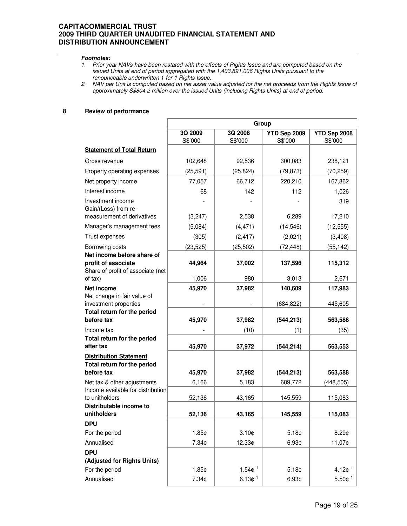#### **Footnotes:**

- 1. Prior year NAVs have been restated with the effects of Rights Issue and are computed based on the issued Units at end of period aggregated with the 1,403,891,006 Rights Units pursuant to the renounceable underwritten 1-for-1 Rights Issue.
- 2. NAV per Unit is computed based on net asset value adjusted for the net proceeds from the Rights Issue of approximately S\$804.2 million over the issued Units (including Rights Units) at end of period.

#### **8 Review of performance**

|                                                                           | Group              |                        |                         |                          |
|---------------------------------------------------------------------------|--------------------|------------------------|-------------------------|--------------------------|
|                                                                           | 3Q 2009<br>S\$'000 | 3Q 2008<br>S\$'000     | YTD Sep 2009<br>S\$'000 | YTD Sep 2008<br>S\$'000  |
| <b>Statement of Total Return</b>                                          |                    |                        |                         |                          |
| Gross revenue                                                             | 102,648            | 92,536                 | 300,083                 | 238,121                  |
| Property operating expenses                                               | (25, 591)          | (25, 824)              | (79, 873)               | (70, 259)                |
| Net property income                                                       | 77,057             | 66,712                 | 220,210                 | 167,862                  |
| Interest income                                                           | 68                 | 142                    | 112                     | 1,026                    |
| Investment income<br>Gain/(Loss) from re-<br>measurement of derivatives   | (3,247)            | 2,538                  | 6,289                   | 319<br>17,210            |
| Manager's management fees                                                 | (5,084)            | (4, 471)               | (14, 546)               | (12, 555)                |
| Trust expenses                                                            | (305)              | (2, 417)               | (2,021)                 | (3,408)                  |
| Borrowing costs                                                           | (23, 525)          | (25, 502)              | (72, 448)               | (55, 142)                |
| Net income before share of                                                |                    |                        |                         |                          |
| profit of associate<br>Share of profit of associate (net                  | 44,964             | 37,002                 | 137,596                 | 115,312                  |
| of tax)                                                                   | 1,006              | 980                    | 3,013                   | 2,671                    |
| <b>Net income</b><br>Net change in fair value of<br>investment properties | 45,970             | 37,982                 | 140,609<br>(684, 822)   | 117,983<br>445,605       |
| Total return for the period                                               |                    |                        |                         |                          |
| before tax                                                                | 45,970             | 37,982                 | (544, 213)              | 563,588                  |
| Income tax                                                                |                    | (10)                   | (1)                     | (35)                     |
| Total return for the period<br>after tax                                  | 45,970             | 37,972                 | (544, 214)              | 563,553                  |
| <b>Distribution Statement</b><br>Total return for the period              |                    |                        |                         |                          |
| before tax                                                                | 45,970             | 37,982                 | (544, 213)              | 563,588                  |
| Net tax & other adjustments                                               | 6,166              | 5,183                  | 689,772                 | (448, 505)               |
| Income available for distribution<br>to unitholders                       |                    |                        |                         |                          |
| Distributable income to                                                   | 52,136             | 43,165                 | 145,559                 | 115,083                  |
| unitholders                                                               | 52,136             | 43,165                 | 145,559                 | 115,083                  |
| <b>DPU</b>                                                                |                    |                        |                         |                          |
| For the period                                                            | 1.85¢              | 3.10 <sub>¢</sub>      | 5.18¢                   | 8.29¢                    |
| Annualised                                                                | 7.34¢              | 12.33¢                 | 6.93 <sub>¢</sub>       | 11.07¢                   |
| <b>DPU</b>                                                                |                    |                        |                         |                          |
| (Adjusted for Rights Units)                                               |                    |                        |                         |                          |
| For the period                                                            | 1.85¢              | $1.54$ ¢ <sup>1</sup>  | 5.18¢                   | 4.12 $\phi$ <sup>1</sup> |
| Annualised                                                                | 7.34¢              | 6.13 $+1$ <sup>1</sup> | 6.93 <sub>¢</sub>       | $5.50$ ¢ <sup>1</sup>    |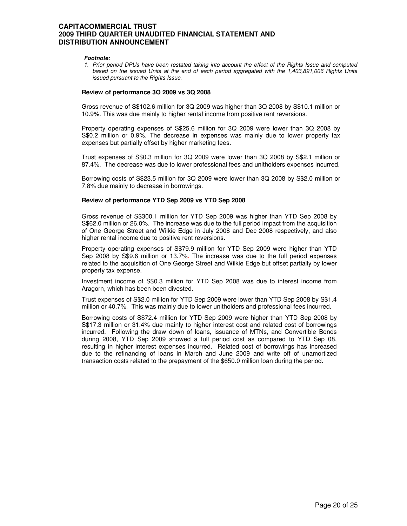#### **Footnote:**

1. Prior period DPUs have been restated taking into account the effect of the Rights Issue and computed based on the issued Units at the end of each period aggregated with the 1,403,891,006 Rights Units issued pursuant to the Rights Issue.

#### **Review of performance 3Q 2009 vs 3Q 2008**

 Gross revenue of S\$102.6 million for 3Q 2009 was higher than 3Q 2008 by S\$10.1 million or 10.9%. This was due mainly to higher rental income from positive rent reversions.

Property operating expenses of S\$25.6 million for 3Q 2009 were lower than 3Q 2008 by S\$0.2 million or 0.9%. The decrease in expenses was mainly due to lower property tax expenses but partially offset by higher marketing fees.

Trust expenses of S\$0.3 million for 3Q 2009 were lower than 3Q 2008 by S\$2.1 million or 87.4%. The decrease was due to lower professional fees and unitholders expenses incurred.

Borrowing costs of S\$23.5 million for 3Q 2009 were lower than 3Q 2008 by S\$2.0 million or 7.8% due mainly to decrease in borrowings.

#### **Review of performance YTD Sep 2009 vs YTD Sep 2008**

Gross revenue of S\$300.1 million for YTD Sep 2009 was higher than YTD Sep 2008 by S\$62.0 million or 26.0%. The increase was due to the full period impact from the acquisition of One George Street and Wilkie Edge in July 2008 and Dec 2008 respectively, and also higher rental income due to positive rent reversions.

Property operating expenses of S\$79.9 million for YTD Sep 2009 were higher than YTD Sep 2008 by S\$9.6 million or 13.7%. The increase was due to the full period expenses related to the acquisition of One George Street and Wilkie Edge but offset partially by lower property tax expense.

Investment income of S\$0.3 million for YTD Sep 2008 was due to interest income from Aragorn, which has been been divested.

Trust expenses of S\$2.0 million for YTD Sep 2009 were lower than YTD Sep 2008 by S\$1.4 million or 40.7%. This was mainly due to lower unitholders and professional fees incurred.

Borrowing costs of S\$72.4 million for YTD Sep 2009 were higher than YTD Sep 2008 by S\$17.3 million or 31.4% due mainly to higher interest cost and related cost of borrowings incurred. Following the draw down of loans, issuance of MTNs, and Convertible Bonds during 2008, YTD Sep 2009 showed a full period cost as compared to YTD Sep 08, resulting in higher interest expenses incurred. Related cost of borrowings has increased due to the refinancing of loans in March and June 2009 and write off of unamortized transaction costs related to the prepayment of the \$650.0 million loan during the period.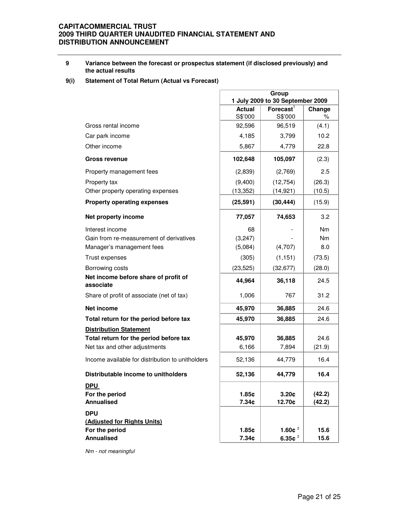#### **9 Variance between the forecast or prospectus statement (if disclosed previously) and the actual results**

## **9(i) Statement of Total Return (Actual vs Forecast)**

|                                                                                  | Group<br>1 July 2009 to 30 September 2009 |                                  |                  |
|----------------------------------------------------------------------------------|-------------------------------------------|----------------------------------|------------------|
|                                                                                  | <b>Actual</b><br>S\$'000                  | $\mathsf{Forecast}^1$<br>S\$'000 | Change<br>%      |
| Gross rental income                                                              | 92,596                                    | 96,519                           | (4.1)            |
| Car park income                                                                  | 4,185                                     | 3,799                            | 10.2             |
| Other income                                                                     | 5,867                                     | 4,779                            | 22.8             |
| <b>Gross revenue</b>                                                             | 102,648                                   | 105,097                          | (2.3)            |
| Property management fees                                                         | (2,839)                                   | (2,769)                          | 2.5              |
| Property tax                                                                     | (9,400)                                   | (12, 754)                        | (26.3)           |
| Other property operating expenses                                                | (13, 352)                                 | (14, 921)                        | (10.5)           |
| <b>Property operating expenses</b>                                               | (25, 591)                                 | (30, 444)                        | (15.9)           |
| Net property income                                                              | 77,057                                    | 74,653                           | 3.2              |
| Interest income                                                                  | 68                                        |                                  | Nm               |
| Gain from re-measurement of derivatives                                          | (3,247)                                   |                                  | Nm.              |
| Manager's management fees                                                        | (5,084)                                   | (4,707)                          | 8.0              |
| Trust expenses                                                                   | (305)                                     | (1, 151)                         | (73.5)           |
| Borrowing costs                                                                  | (23, 525)                                 | (32, 677)                        | (28.0)           |
| Net income before share of profit of<br>associate                                | 44,964                                    | 36,118                           | 24.5             |
| Share of profit of associate (net of tax)                                        | 1,006                                     | 767                              | 31.2             |
| Net income                                                                       | 45,970                                    | 36,885                           | 24.6             |
| Total return for the period before tax                                           | 45,970                                    | 36,885                           | 24.6             |
| <b>Distribution Statement</b>                                                    |                                           |                                  |                  |
| Total return for the period before tax                                           | 45,970                                    | 36,885                           | 24.6             |
| Net tax and other adjustments                                                    | 6,166                                     | 7,894                            | (21.9)           |
| Income available for distribution to unitholders                                 | 52,136                                    | 44,779                           | 16.4             |
| Distributable income to unitholders                                              | 52,136                                    | 44,779                           | 16.4             |
| <b>DPU</b><br>For the period<br><b>Annualised</b>                                | 1.85c<br>7.34¢                            | 3.20 <sub>¢</sub><br>12.70¢      | (42.2)<br>(42.2) |
| <b>DPU</b><br>(Adjusted for Rights Units)<br>For the period<br><b>Annualised</b> | 1.85c<br>7.34 <sub>¢</sub>                | 1.60 $e^2$<br>6.35 $e^2$         | 15.6<br>15.6     |

Nm - not meaningful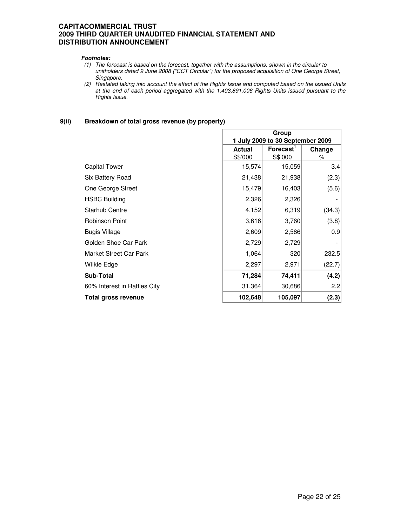#### **Footnotes:**

- (1) The forecast is based on the forecast, together with the assumptions, shown in the circular to unitholders dated 9 June 2008 ("CCT Circular") for the proposed acquisition of One George Street, Singapore.
- (2) Restated taking into account the effect of the Rights Issue and computed based on the issued Units at the end of each period aggregated with the 1,403,891,006 Rights Units issued pursuant to the Rights Issue.

#### **9(ii) Breakdown of total gross revenue (by property)**

|                              | Group                            |                       |        |
|------------------------------|----------------------------------|-----------------------|--------|
|                              | 1 July 2009 to 30 September 2009 |                       |        |
|                              | <b>Actual</b>                    | $\mathsf{Forecast}^1$ | Change |
|                              | S\$'000                          | S\$'000               | %      |
| <b>Capital Tower</b>         | 15,574                           | 15,059                | 3.4    |
| Six Battery Road             | 21,438                           | 21,938                | (2.3)  |
| One George Street            | 15,479                           | 16,403                | (5.6)  |
| <b>HSBC Building</b>         | 2,326                            | 2,326                 |        |
| <b>Starhub Centre</b>        | 4,152                            | 6,319                 | (34.3) |
| <b>Robinson Point</b>        | 3,616                            | 3,760                 | (3.8)  |
| <b>Bugis Village</b>         | 2,609                            | 2,586                 | 0.9    |
| Golden Shoe Car Park         | 2,729                            | 2,729                 |        |
| Market Street Car Park       | 1,064                            | 320                   | 232.5  |
| Wilkie Edge                  | 2,297                            | 2,971                 | (22.7) |
| <b>Sub-Total</b>             | 71,284                           | 74,411                | (4.2)  |
| 60% Interest in Raffles City | 31,364                           | 30,686                | 2.2    |
| <b>Total gross revenue</b>   | 102,648                          | 105,097               | (2.3)  |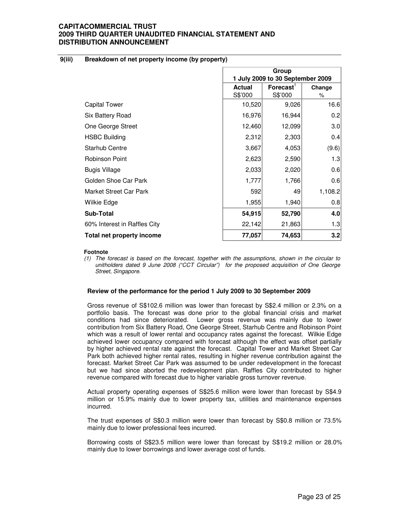#### **9(iii) Breakdown of net property income (by property)**

|                               | Group<br>1 July 2009 to 30 September 2009 |                       |         |
|-------------------------------|-------------------------------------------|-----------------------|---------|
|                               | <b>Actual</b>                             | Forecast <sup>1</sup> | Change  |
|                               | S\$'000                                   | S\$'000               | %       |
| <b>Capital Tower</b>          | 10,520                                    | 9,026                 | 16.6    |
| Six Battery Road              | 16,976                                    | 16,944                | 0.2     |
| One George Street             | 12,460                                    | 12,099                | 3.0     |
| <b>HSBC Building</b>          | 2,312                                     | 2,303                 | 0.4     |
| <b>Starhub Centre</b>         | 3,667                                     | 4,053                 | (9.6)   |
| Robinson Point                | 2,623                                     | 2,590                 | 1.3     |
| <b>Bugis Village</b>          | 2,033                                     | 2,020                 | 0.6     |
| Golden Shoe Car Park          | 1,777                                     | 1,766                 | 0.6     |
| <b>Market Street Car Park</b> | 592                                       | 49                    | 1,108.2 |
| Wilkie Edge                   | 1,955                                     | 1,940                 | 0.8     |
| <b>Sub-Total</b>              | 54,915                                    | 52,790                | 4.0     |
| 60% Interest in Raffles City  | 22,142                                    | 21,863                | 1.3     |
| Total net property income     | 77,057                                    | 74,653                | 3.2     |

#### **Footnote**

(1) The forecast is based on the forecast, together with the assumptions, shown in the circular to unitholders dated 9 June 2008 ("CCT Circular") for the proposed acquisition of One George Street, Singapore.

#### **Review of the performance for the period 1 July 2009 to 30 September 2009**

Gross revenue of S\$102.6 million was lower than forecast by S\$2.4 million or 2.3% on a portfolio basis. The forecast was done prior to the global financial crisis and market conditions had since deteriorated. Lower gross revenue was mainly due to lower contribution from Six Battery Road, One George Street, Starhub Centre and Robinson Point which was a result of lower rental and occupancy rates against the forecast. Wilkie Edge achieved lower occupancy compared with forecast although the effect was offset partially by higher achieved rental rate against the forecast. Capital Tower and Market Street Car Park both achieved higher rental rates, resulting in higher revenue contribution against the forecast. Market Street Car Park was assumed to be under redevelopment in the forecast but we had since aborted the redevelopment plan. Raffles City contributed to higher revenue compared with forecast due to higher variable gross turnover revenue.

Actual property operating expenses of S\$25.6 million were lower than forecast by S\$4.9 million or 15.9% mainly due to lower property tax, utilities and maintenance expenses incurred.

The trust expenses of S\$0.3 million were lower than forecast by S\$0.8 million or 73.5% mainly due to lower professional fees incurred.

Borrowing costs of S\$23.5 million were lower than forecast by S\$19.2 million or 28.0% mainly due to lower borrowings and lower average cost of funds.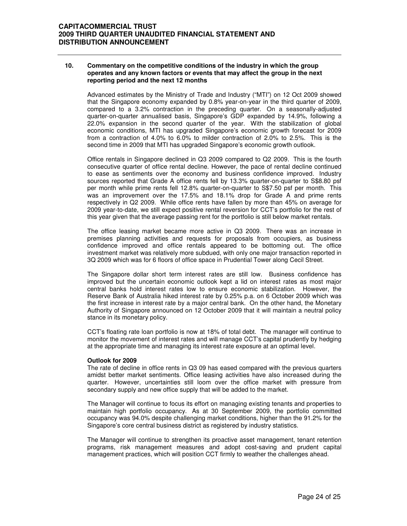#### **10. Commentary on the competitive conditions of the industry in which the group operates and any known factors or events that may affect the group in the next reporting period and the next 12 months**

Advanced estimates by the Ministry of Trade and Industry ("MTI") on 12 Oct 2009 showed that the Singapore economy expanded by 0.8% year-on-year in the third quarter of 2009, compared to a 3.2% contraction in the preceding quarter. On a seasonally-adjusted quarter-on-quarter annualised basis, Singapore's GDP expanded by 14.9%, following a 22.0% expansion in the second quarter of the year. With the stabilization of global economic conditions, MTI has upgraded Singapore's economic growth forecast for 2009 from a contraction of 4.0% to 6.0% to milder contraction of 2.0% to 2.5%. This is the second time in 2009 that MTI has upgraded Singapore's economic growth outlook.

Office rentals in Singapore declined in Q3 2009 compared to Q2 2009. This is the fourth consecutive quarter of office rental decline. However, the pace of rental decline continued to ease as sentiments over the economy and business confidence improved. Industry sources reported that Grade A office rents fell by 13.3% quarter-on-quarter to S\$8.80 psf per month while prime rents fell 12.8% quarter-on-quarter to S\$7.50 psf per month. This was an improvement over the 17.5% and 18.1% drop for Grade A and prime rents respectively in Q2 2009. While office rents have fallen by more than 45% on average for 2009 year-to-date, we still expect positive rental reversion for CCT's portfolio for the rest of this year given that the average passing rent for the portfolio is still below market rentals.

The office leasing market became more active in Q3 2009. There was an increase in premises planning activities and requests for proposals from occupiers, as business confidence improved and office rentals appeared to be bottoming out. The office investment market was relatively more subdued, with only one major transaction reported in 3Q 2009 which was for 6 floors of office space in Prudential Tower along Cecil Street.

The Singapore dollar short term interest rates are still low. Business confidence has improved but the uncertain economic outlook kept a lid on interest rates as most major central banks hold interest rates low to ensure economic stabilization. However, the Reserve Bank of Australia hiked interest rate by 0.25% p.a. on 6 October 2009 which was the first increase in interest rate by a major central bank. On the other hand, the Monetary Authority of Singapore announced on 12 October 2009 that it will maintain a neutral policy stance in its monetary policy.

CCT's floating rate loan portfolio is now at 18% of total debt. The manager will continue to monitor the movement of interest rates and will manage CCT's capital prudently by hedging at the appropriate time and managing its interest rate exposure at an optimal level.

#### **Outlook for 2009**

The rate of decline in office rents in Q3 09 has eased compared with the previous quarters amidst better market sentiments. Office leasing activities have also increased during the quarter. However, uncertainties still loom over the office market with pressure from secondary supply and new office supply that will be added to the market.

The Manager will continue to focus its effort on managing existing tenants and properties to maintain high portfolio occupancy. As at 30 September 2009, the portfolio committed occupancy was 94.0% despite challenging market conditions, higher than the 91.2% for the Singapore's core central business district as registered by industry statistics.

The Manager will continue to strengthen its proactive asset management, tenant retention programs, risk management measures and adopt cost-saving and prudent capital management practices, which will position CCT firmly to weather the challenges ahead.